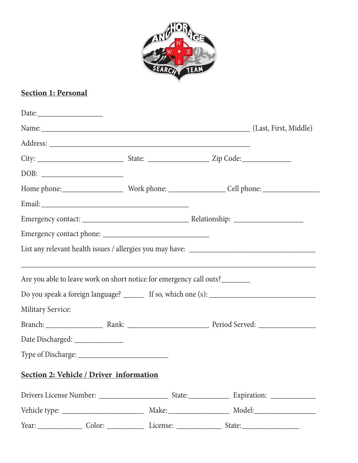

# **Section 1: Personal**

|                          |                                         |                                                                     | Name: (Last, First, Middle) |
|--------------------------|-----------------------------------------|---------------------------------------------------------------------|-----------------------------|
|                          |                                         |                                                                     |                             |
|                          |                                         |                                                                     |                             |
|                          |                                         |                                                                     |                             |
|                          |                                         |                                                                     |                             |
|                          |                                         |                                                                     |                             |
|                          |                                         |                                                                     |                             |
|                          |                                         |                                                                     |                             |
|                          |                                         |                                                                     |                             |
|                          |                                         |                                                                     |                             |
|                          |                                         | Are you able to leave work on short notice for emergency call outs? |                             |
|                          |                                         |                                                                     |                             |
| <b>Military Service:</b> |                                         |                                                                     |                             |
|                          |                                         |                                                                     |                             |
|                          | Date Discharged: ______________         |                                                                     |                             |
|                          |                                         |                                                                     |                             |
|                          | Section 2: Vehicle / Driver information |                                                                     |                             |
|                          |                                         |                                                                     |                             |
|                          |                                         |                                                                     |                             |
|                          |                                         | Year: Color: Color: License: Cicense: State:                        |                             |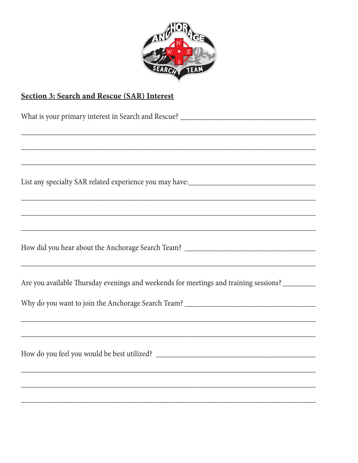

# Section 3: Search and Rescue (SAR) Interest

| ,我们也不会有什么。""我们的人,我们也不会有什么?""我们的人,我们也不会有什么?""我们的人,我们也不会有什么?""我们的人,我们也不会有什么?""我们的人                                      |
|-----------------------------------------------------------------------------------------------------------------------|
| <u> 1989 - Johann Harry Harry Harry Harry Harry Harry Harry Harry Harry Harry Harry Harry Harry Harry Harry Harry</u> |
| <u> 1989 - Johann Stoff, amerikan bestein besteht aus dem besteht aus dem Berlingen aus der Berlingen aus der Be</u>  |
|                                                                                                                       |
|                                                                                                                       |
| Are you available Thursday evenings and weekends for meetings and training sessions? ______________                   |
|                                                                                                                       |
|                                                                                                                       |
| <u> 1989 - Johann Stoff, amerikansk politiker (d. 1989)</u>                                                           |
|                                                                                                                       |
|                                                                                                                       |
| ,我们也不能在这里的人,我们也不能在这里的人,我们也不能在这里的人,我们也不能在这里的人,我们也不能在这里的人,我们也不能在这里的人,我们也不能在这里的人,我们也                                     |
|                                                                                                                       |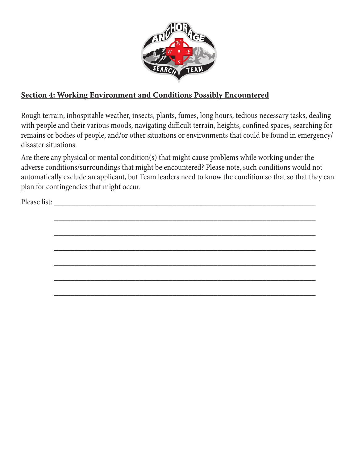

### **Section 4: Working Environment and Conditions Possibly Encountered**

Rough terrain, inhospitable weather, insects, plants, fumes, long hours, tedious necessary tasks, dealing with people and their various moods, navigating difficult terrain, heights, confined spaces, searching for remains or bodies of people, and/or other situations or environments that could be found in emergency/ disaster situations.

Are there any physical or mental condition(s) that might cause problems while working under the adverse conditions/surroundings that might be encountered? Please note, such conditions would not automatically exclude an applicant, but Team leaders need to know the condition so that so that they can plan for contingencies that might occur.

Please list: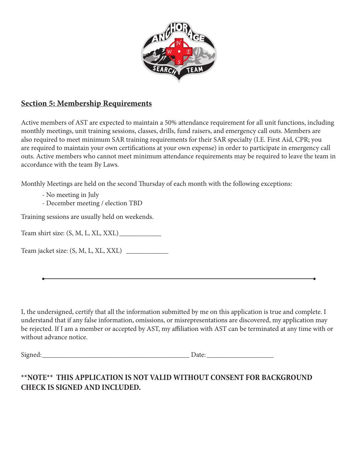

#### **Section 5: Membership Requirements**

Active members of AST are expected to maintain a 50% attendance requirement for all unit functions, including monthly meetings, unit training sessions, classes, drills, fund raisers, and emergency call outs. Members are also required to meet minimum SAR training requirements for their SAR specialty (I.E. First Aid, CPR; you are required to maintain your own certifications at your own expense) in order to participate in emergency call outs. Active members who cannot meet minimum attendance requirements may be required to leave the team in accordance with the team By Laws.

Monthly Meetings are held on the second Thursday of each month with the following exceptions:

- No meeting in July
- December meeting / election TBD

Training sessions are usually held on weekends.

Team shirt size: (S, M, L, XL, XXL)\_\_\_\_\_\_\_\_\_\_\_\_

Team jacket size: (S, M, L, XL, XXL) \_\_\_\_\_\_\_\_\_\_\_\_

I, the undersigned, certify that all the information submitted by me on this application is true and complete. I understand that if any false information, omissions, or misrepresentations are discovered, my application may be rejected. If I am a member or accepted by AST, my affiliation with AST can be terminated at any time with or without advance notice.

Signed:  $\Box$ 

#### **\*\*NOTE\*\* THIS APPLICATION IS NOT VALID WITHOUT CONSENT FOR BACKGROUND CHECK IS SIGNED AND INCLUDED.**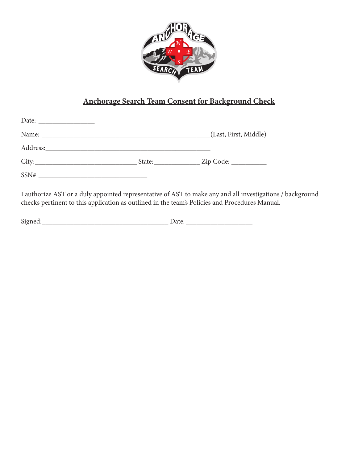

# **Anchorage Search Team Consent for Background Check**

|                                    | (Last, First, Middle) |
|------------------------------------|-----------------------|
|                                    |                       |
| City:                              |                       |
| $SSN# \underbrace{\qquad \qquad }$ |                       |

I authorize AST or a duly appointed representative of AST to make any and all investigations / background checks pertinent to this application as outlined in the team's Policies and Procedures Manual.

| $\sim$ | - |
|--------|---|
| ---    |   |